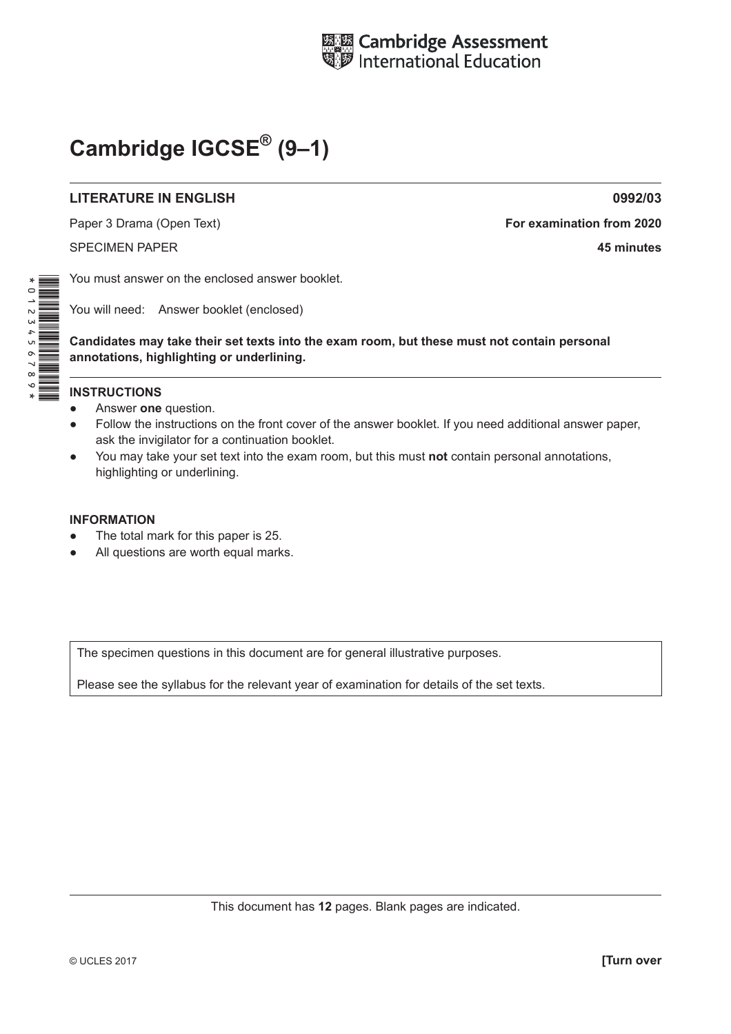

# **Cambridge IGCSE® (9–1)**

#### **LITERATURE IN ENGLISH 0992/03**

Paper 3 Drama (Open Text) **For examination from 2020** SPECIMEN PAPER **45 minutes**

You must answer on the enclosed answer booklet.

You will need: Answer booklet (enclosed)

**Candidates may take their set texts into the exam room, but these must not contain personal annotations, highlighting or underlining.**

#### **INSTRUCTIONS**

- Answer **one** question.
- Follow the instructions on the front cover of the answer booklet. If you need additional answer paper, ask the invigilator for a continuation booklet.
- You may take your set text into the exam room, but this must **not** contain personal annotations, highlighting or underlining.

#### **INFORMATION**

- The total mark for this paper is 25.
- All questions are worth equal marks.

The specimen questions in this document are for general illustrative purposes.

Please see the syllabus for the relevant year of examination for details of the set texts.

This document has **12** pages. Blank pages are indicated.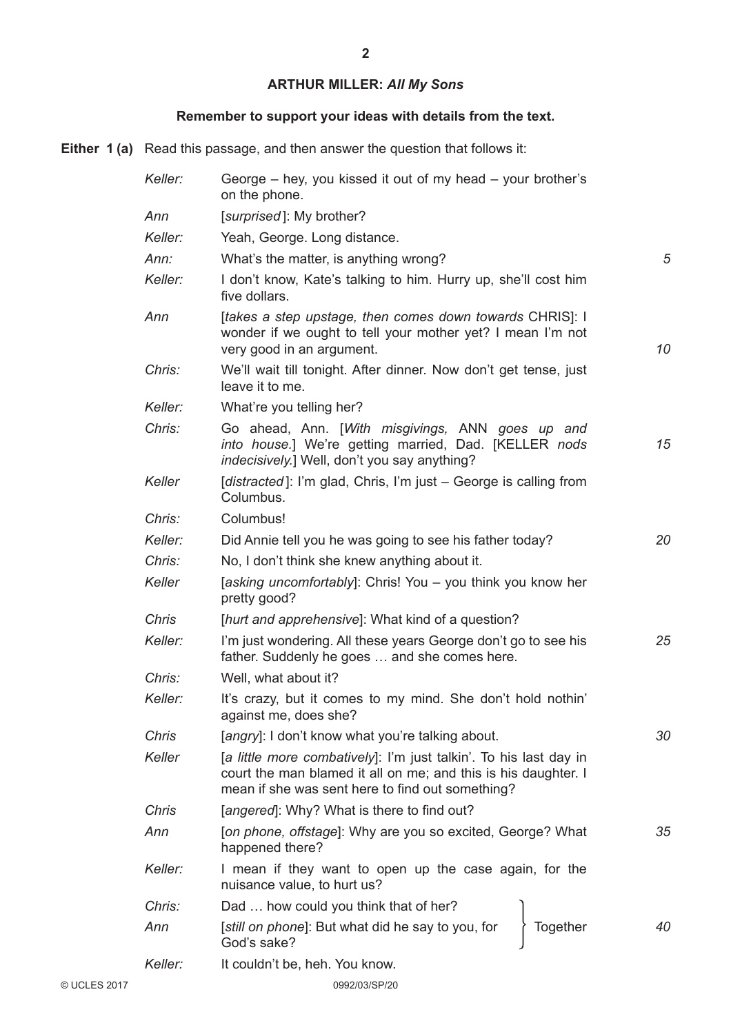# **ARTHUR MILLER:** *All My Sons*

## **Remember to support your ideas with details from the text.**

**Either 1 (a)** Read this passage, and then answer the question that follows it:

|              | Keller:      | George – hey, you kissed it out of my head – your brother's<br>on the phone.                                                                                                            |    |
|--------------|--------------|-----------------------------------------------------------------------------------------------------------------------------------------------------------------------------------------|----|
|              | Ann          | [surprised]: My brother?                                                                                                                                                                |    |
|              | Keller:      | Yeah, George. Long distance.                                                                                                                                                            |    |
|              | Ann:         | What's the matter, is anything wrong?                                                                                                                                                   | 5  |
|              | Keller:      | I don't know, Kate's talking to him. Hurry up, she'll cost him<br>five dollars.                                                                                                         |    |
|              | Ann          | [takes a step upstage, then comes down towards CHRIS]: I<br>wonder if we ought to tell your mother yet? I mean I'm not<br>very good in an argument.                                     | 10 |
|              | Chris:       | We'll wait till tonight. After dinner. Now don't get tense, just<br>leave it to me.                                                                                                     |    |
|              | Keller:      | What're you telling her?                                                                                                                                                                |    |
|              | Chris:       | Go ahead, Ann. [With misgivings, ANN goes up and<br>into house.] We're getting married, Dad. [KELLER nods<br><i>indecisively.</i> ] Well, don't you say anything?                       | 15 |
|              | Keller       | [distracted]: I'm glad, Chris, I'm just - George is calling from<br>Columbus.                                                                                                           |    |
|              | Chris:       | Columbus!                                                                                                                                                                               |    |
|              | Keller:      | Did Annie tell you he was going to see his father today?                                                                                                                                | 20 |
|              | Chris:       | No, I don't think she knew anything about it.                                                                                                                                           |    |
|              | Keller       | [asking uncomfortably]: Chris! You - you think you know her<br>pretty good?                                                                                                             |    |
|              | <b>Chris</b> | [hurt and apprehensive]: What kind of a question?                                                                                                                                       |    |
|              | Keller:      | I'm just wondering. All these years George don't go to see his<br>father. Suddenly he goes  and she comes here.                                                                         | 25 |
|              | Chris:       | Well, what about it?                                                                                                                                                                    |    |
|              | Keller:      | It's crazy, but it comes to my mind. She don't hold nothin'<br>against me, does she?                                                                                                    |    |
|              | Chris        | [angry]: I don't know what you're talking about.                                                                                                                                        | 30 |
|              | Keller       | [a little more combatively]: I'm just talkin'. To his last day in<br>court the man blamed it all on me; and this is his daughter. I<br>mean if she was sent here to find out something? |    |
|              | <b>Chris</b> | [angered]: Why? What is there to find out?                                                                                                                                              |    |
|              | Ann          | [on phone, offstage]: Why are you so excited, George? What<br>happened there?                                                                                                           | 35 |
|              | Keller:      | I mean if they want to open up the case again, for the<br>nuisance value, to hurt us?                                                                                                   |    |
|              | Chris:       | Dad  how could you think that of her?                                                                                                                                                   |    |
|              | Ann          | [still on phone]: But what did he say to you, for<br>Together<br>God's sake?                                                                                                            | 40 |
|              | Keller:      | It couldn't be, heh. You know.                                                                                                                                                          |    |
| © UCLES 2017 |              | 0992/03/SP/20                                                                                                                                                                           |    |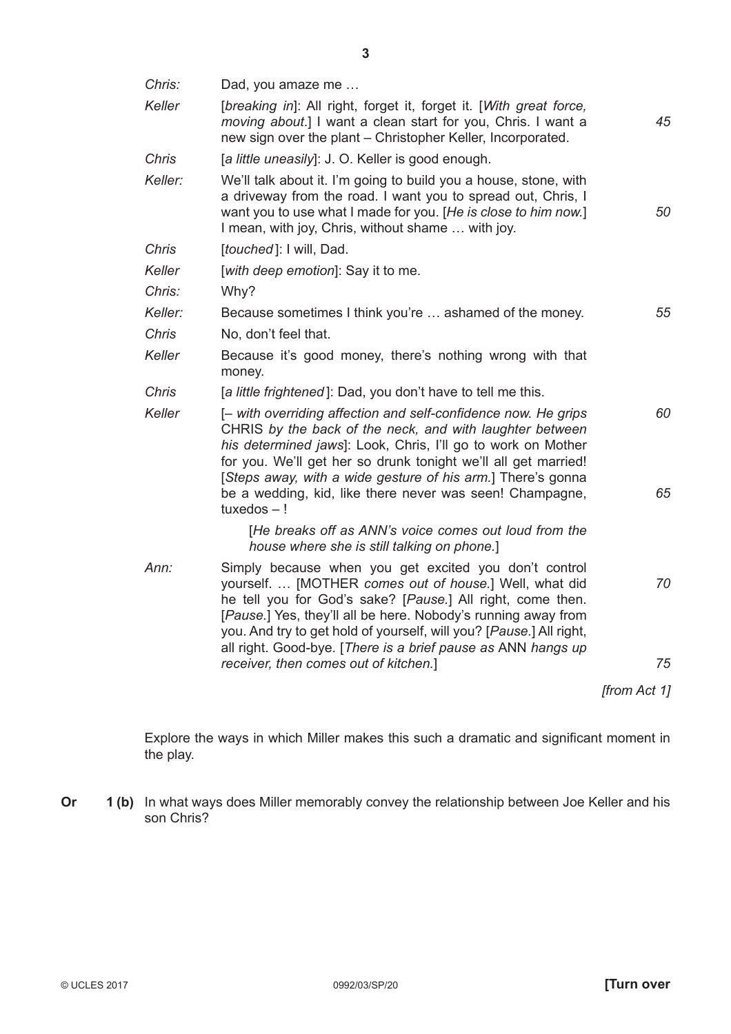| Chris:       | Dad, you amaze me                                                                                                                                                                                                                                                                                                                                                                       |              |
|--------------|-----------------------------------------------------------------------------------------------------------------------------------------------------------------------------------------------------------------------------------------------------------------------------------------------------------------------------------------------------------------------------------------|--------------|
| Keller       | [breaking in]: All right, forget it, forget it. [With great force,<br>moving about.] I want a clean start for you, Chris. I want a<br>new sign over the plant - Christopher Keller, Incorporated.                                                                                                                                                                                       | 45           |
| <b>Chris</b> | [a little uneasily]: J. O. Keller is good enough.                                                                                                                                                                                                                                                                                                                                       |              |
| Keller:      | We'll talk about it. I'm going to build you a house, stone, with<br>a driveway from the road. I want you to spread out, Chris, I<br>want you to use what I made for you. [He is close to him now.]<br>I mean, with joy, Chris, without shame  with joy.                                                                                                                                 | 50           |
| <b>Chris</b> | [touched]: I will, Dad.                                                                                                                                                                                                                                                                                                                                                                 |              |
| Keller       | [with deep emotion]: Say it to me.                                                                                                                                                                                                                                                                                                                                                      |              |
| Chris:       | Why?                                                                                                                                                                                                                                                                                                                                                                                    |              |
| Keller:      | Because sometimes I think you're  ashamed of the money.                                                                                                                                                                                                                                                                                                                                 | 55           |
| <b>Chris</b> | No, don't feel that.                                                                                                                                                                                                                                                                                                                                                                    |              |
| Keller       | Because it's good money, there's nothing wrong with that<br>money.                                                                                                                                                                                                                                                                                                                      |              |
| Chris        | [a little frightened]: Dad, you don't have to tell me this.                                                                                                                                                                                                                                                                                                                             |              |
| Keller       | [- with overriding affection and self-confidence now. He grips<br>CHRIS by the back of the neck, and with laughter between<br>his determined jaws]: Look, Chris, I'll go to work on Mother<br>for you. We'll get her so drunk tonight we'll all get married!<br>[Steps away, with a wide gesture of his arm.] There's gonna<br>be a wedding, kid, like there never was seen! Champagne, | 60<br>65     |
|              | $t$ uxedos $-!$<br>[He breaks off as ANN's voice comes out loud from the                                                                                                                                                                                                                                                                                                                |              |
|              | house where she is still talking on phone.]                                                                                                                                                                                                                                                                                                                                             |              |
| Ann:         | Simply because when you get excited you don't control<br>yourself.  [MOTHER comes out of house.] Well, what did<br>he tell you for God's sake? [Pause.] All right, come then.<br>[Pause.] Yes, they'll all be here. Nobody's running away from<br>you. And try to get hold of yourself, will you? [Pause.] All right,                                                                   | 70           |
|              | all right. Good-bye. [There is a brief pause as ANN hangs up<br>receiver, then comes out of kitchen.]                                                                                                                                                                                                                                                                                   | 75           |
|              |                                                                                                                                                                                                                                                                                                                                                                                         | [from Act 1] |
|              |                                                                                                                                                                                                                                                                                                                                                                                         |              |

Explore the ways in which Miller makes this such a dramatic and significant moment in the play.

**Or** 1 (b) In what ways does Miller memorably convey the relationship between Joe Keller and his son Chris?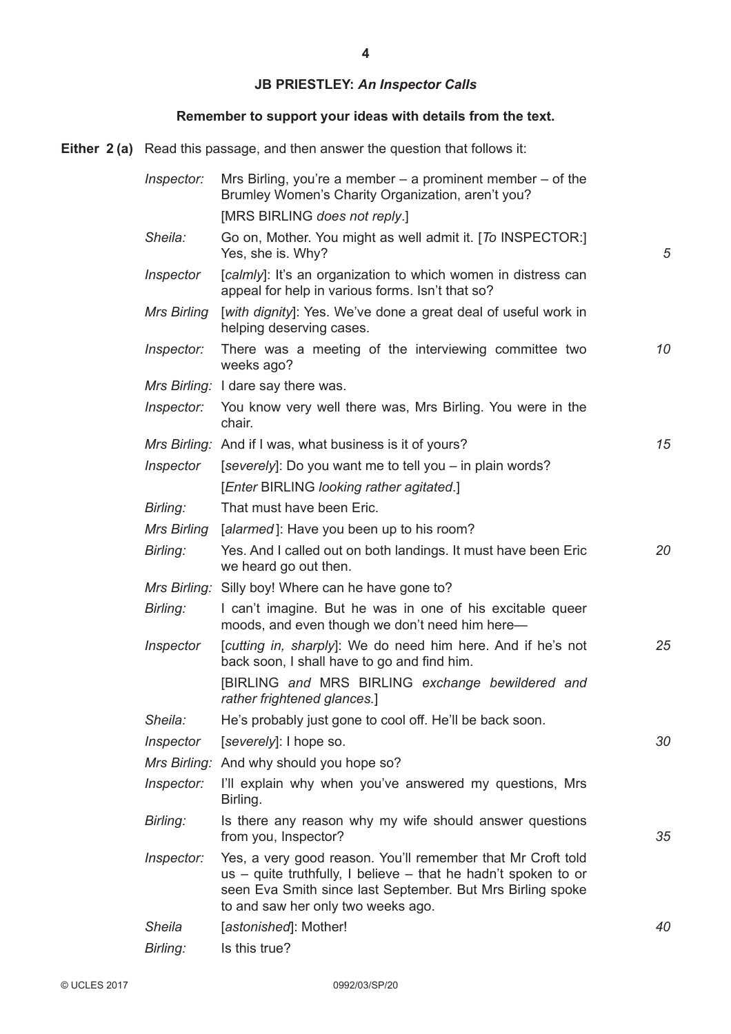## **JB PRIESTLEY:** *An Inspector Calls*

## **Remember to support your ideas with details from the text.**

**Either 2 (a)** Read this passage, and then answer the question that follows it:

| Inspector:    | Mrs Birling, you're a member $-$ a prominent member $-$ of the<br>Brumley Women's Charity Organization, aren't you?                                                                                                               |    |
|---------------|-----------------------------------------------------------------------------------------------------------------------------------------------------------------------------------------------------------------------------------|----|
|               | [MRS BIRLING does not reply.]                                                                                                                                                                                                     |    |
| Sheila:       | Go on, Mother. You might as well admit it. [To INSPECTOR:]<br>Yes, she is. Why?                                                                                                                                                   | 5  |
| Inspector     | [calmly]: It's an organization to which women in distress can<br>appeal for help in various forms. Isn't that so?                                                                                                                 |    |
| Mrs Birling   | [with dignity]: Yes. We've done a great deal of useful work in<br>helping deserving cases.                                                                                                                                        |    |
| Inspector:    | There was a meeting of the interviewing committee two<br>weeks ago?                                                                                                                                                               | 10 |
|               | Mrs Birling: I dare say there was.                                                                                                                                                                                                |    |
| Inspector:    | You know very well there was, Mrs Birling. You were in the<br>chair.                                                                                                                                                              |    |
|               | Mrs Birling: And if I was, what business is it of yours?                                                                                                                                                                          | 15 |
| Inspector     | [severely]: Do you want me to tell you – in plain words?                                                                                                                                                                          |    |
|               | [Enter BIRLING looking rather agitated.]                                                                                                                                                                                          |    |
| Birling:      | That must have been Eric.                                                                                                                                                                                                         |    |
| Mrs Birling   | [alarmed]: Have you been up to his room?                                                                                                                                                                                          |    |
| Birling:      | Yes. And I called out on both landings. It must have been Eric<br>we heard go out then.                                                                                                                                           | 20 |
|               | Mrs Birling: Silly boy! Where can he have gone to?                                                                                                                                                                                |    |
| Birling:      | I can't imagine. But he was in one of his excitable queer<br>moods, and even though we don't need him here-                                                                                                                       |    |
| Inspector     | [cutting in, sharply]: We do need him here. And if he's not<br>back soon, I shall have to go and find him.                                                                                                                        | 25 |
|               | [BIRLING and MRS BIRLING exchange bewildered and<br>rather frightened glances.]                                                                                                                                                   |    |
| Sheila:       | He's probably just gone to cool off. He'll be back soon.                                                                                                                                                                          |    |
| Inspector     | [severely]: I hope so.                                                                                                                                                                                                            | 30 |
|               | Mrs Birling: And why should you hope so?                                                                                                                                                                                          |    |
| Inspector:    | I'll explain why when you've answered my questions, Mrs<br>Birling.                                                                                                                                                               |    |
| Birling:      | Is there any reason why my wife should answer questions<br>from you, Inspector?                                                                                                                                                   | 35 |
| Inspector:    | Yes, a very good reason. You'll remember that Mr Croft told<br>us – quite truthfully, I believe – that he hadn't spoken to or<br>seen Eva Smith since last September. But Mrs Birling spoke<br>to and saw her only two weeks ago. |    |
| <b>Sheila</b> | [astonished]: Mother!                                                                                                                                                                                                             | 40 |
| Birling:      | Is this true?                                                                                                                                                                                                                     |    |
|               |                                                                                                                                                                                                                                   |    |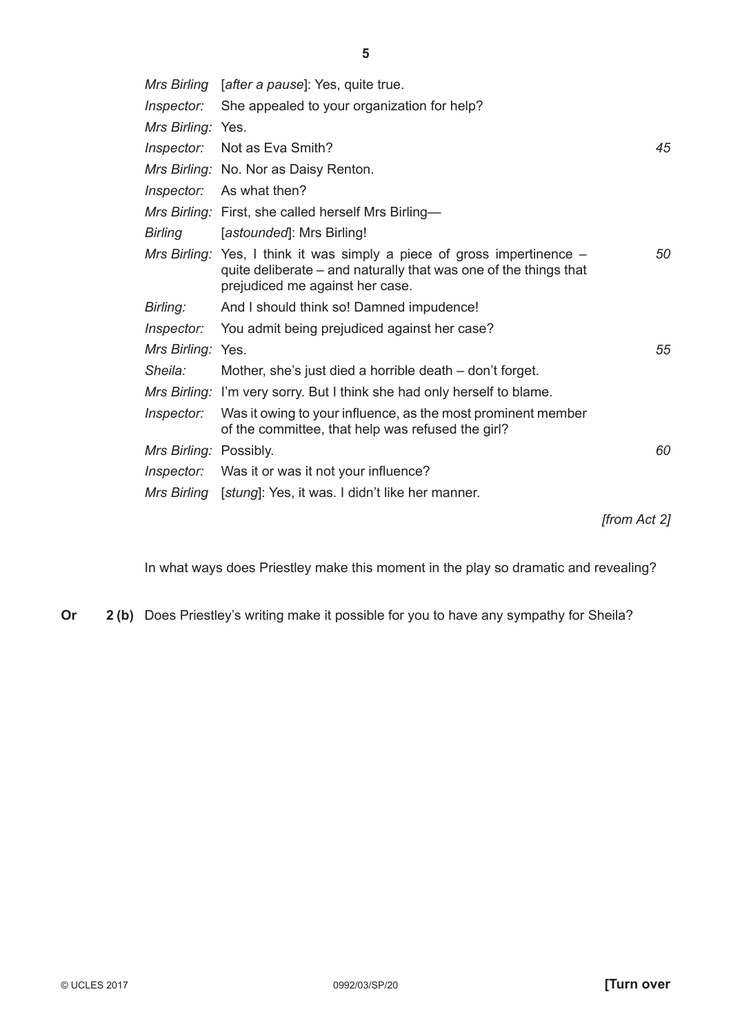|                        | Mrs Birling [after a pause]: Yes, quite true.                                                                                                                                    |    |
|------------------------|----------------------------------------------------------------------------------------------------------------------------------------------------------------------------------|----|
| Inspector:             | She appealed to your organization for help?                                                                                                                                      |    |
| Mrs Birling: Yes.      |                                                                                                                                                                                  |    |
|                        | Inspector: Not as Eva Smith?                                                                                                                                                     | 45 |
|                        | Mrs Birling: No. Nor as Daisy Renton.                                                                                                                                            |    |
|                        | Inspector: As what then?                                                                                                                                                         |    |
|                        | Mrs Birling: First, she called herself Mrs Birling-                                                                                                                              |    |
| <b>Birling</b>         | [astounded]: Mrs Birling!                                                                                                                                                        |    |
|                        | Mrs Birling: Yes, I think it was simply a piece of gross impertinence $-$<br>quite deliberate - and naturally that was one of the things that<br>prejudiced me against her case. | 50 |
| Birling:               | And I should think so! Damned impudence!                                                                                                                                         |    |
|                        | <i>Inspector:</i> You admit being prejudiced against her case?                                                                                                                   |    |
| Mrs Birling: Yes.      |                                                                                                                                                                                  | 55 |
| Sheila:                | Mother, she's just died a horrible death – don't forget.                                                                                                                         |    |
|                        | Mrs Birling: I'm very sorry. But I think she had only herself to blame.                                                                                                          |    |
| Inspector:             | Was it owing to your influence, as the most prominent member<br>of the committee, that help was refused the girl?                                                                |    |
| Mrs Birling: Possibly. |                                                                                                                                                                                  | 60 |
|                        | <i>Inspector:</i> Was it or was it not your influence?                                                                                                                           |    |
|                        | Mrs Birling [stung]: Yes, it was. I didn't like her manner.                                                                                                                      |    |

*[from Act 2]*

In what ways does Priestley make this moment in the play so dramatic and revealing?

**Or** 2 (b) Does Priestley's writing make it possible for you to have any sympathy for Sheila?

**5**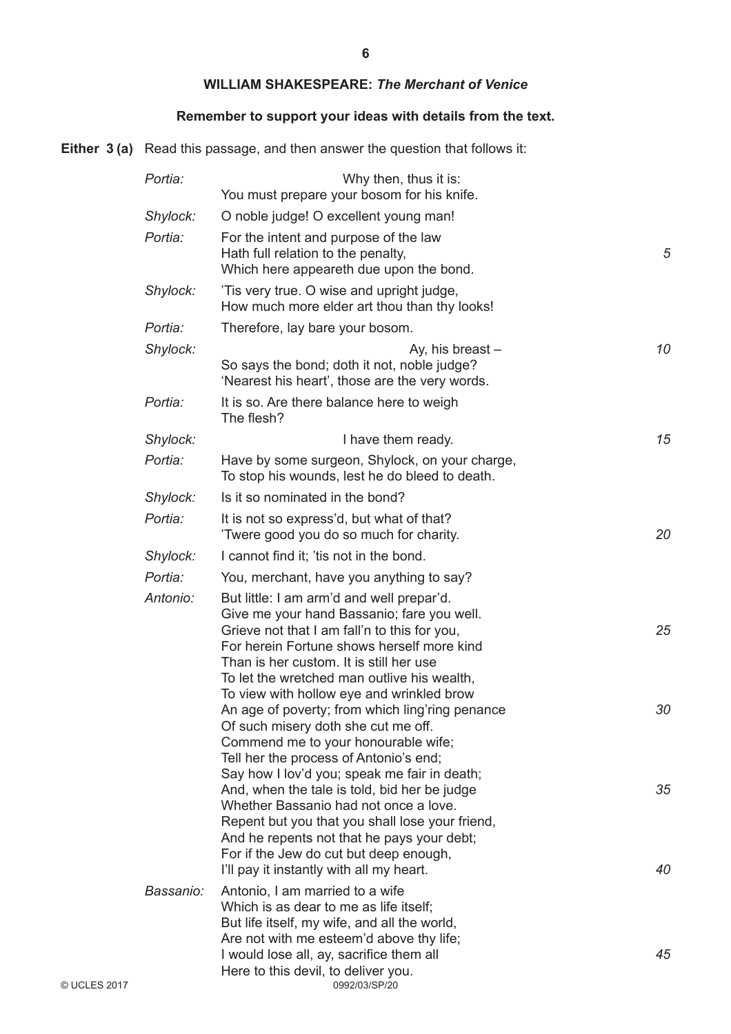#### **WILLIAM SHAKESPEARE:** *The Merchant of Venice*

## **Remember to support your ideas with details from the text.**

**Either 3 (a)** Read this passage, and then answer the question that follows it:

| Portia:   | Why then, thus it is:<br>You must prepare your bosom for his knife.                                                                                                                                                                                                                                                          |          |
|-----------|------------------------------------------------------------------------------------------------------------------------------------------------------------------------------------------------------------------------------------------------------------------------------------------------------------------------------|----------|
| Shylock:  | O noble judge! O excellent young man!                                                                                                                                                                                                                                                                                        |          |
| Portia:   | For the intent and purpose of the law<br>Hath full relation to the penalty,<br>Which here appeareth due upon the bond.                                                                                                                                                                                                       | 5        |
| Shylock:  | Tis very true. O wise and upright judge,<br>How much more elder art thou than thy looks!                                                                                                                                                                                                                                     |          |
| Portia:   | Therefore, lay bare your bosom.                                                                                                                                                                                                                                                                                              |          |
| Shylock:  | Ay, his breast -<br>So says the bond; doth it not, noble judge?<br>'Nearest his heart', those are the very words.                                                                                                                                                                                                            | 10       |
| Portia:   | It is so. Are there balance here to weigh<br>The flesh?                                                                                                                                                                                                                                                                      |          |
| Shylock:  | I have them ready.                                                                                                                                                                                                                                                                                                           | 15       |
| Portia:   | Have by some surgeon, Shylock, on your charge,<br>To stop his wounds, lest he do bleed to death.                                                                                                                                                                                                                             |          |
| Shylock:  | Is it so nominated in the bond?                                                                                                                                                                                                                                                                                              |          |
| Portia:   | It is not so express'd, but what of that?<br>Twere good you do so much for charity.                                                                                                                                                                                                                                          | 20       |
| Shylock:  | I cannot find it; 'tis not in the bond.                                                                                                                                                                                                                                                                                      |          |
| Portia:   | You, merchant, have you anything to say?                                                                                                                                                                                                                                                                                     |          |
| Antonio:  | But little: I am arm'd and well prepar'd.<br>Give me your hand Bassanio; fare you well.<br>Grieve not that I am fall'n to this for you,<br>For herein Fortune shows herself more kind<br>Than is her custom. It is still her use<br>To let the wretched man outlive his wealth,                                              | 25       |
|           | To view with hollow eye and wrinkled brow<br>An age of poverty; from which ling'ring penance<br>Of such misery doth she cut me off.<br>Commend me to your honourable wife;<br>Tell her the process of Antonio's end;                                                                                                         | 30       |
|           | Say how I lov'd you; speak me fair in death;<br>And, when the tale is told, bid her be judge<br>Whether Bassanio had not once a love.<br>Repent but you that you shall lose your friend,<br>And he repents not that he pays your debt;<br>For if the Jew do cut but deep enough,<br>I'll pay it instantly with all my heart. | 35<br>40 |
| Bassanio: | Antonio, I am married to a wife<br>Which is as dear to me as life itself;<br>But life itself, my wife, and all the world,<br>Are not with me esteem'd above thy life;<br>I would lose all, ay, sacrifice them all<br>Here to this devil, to deliver you.                                                                     | 45       |
|           | 0992/03/SP/20                                                                                                                                                                                                                                                                                                                |          |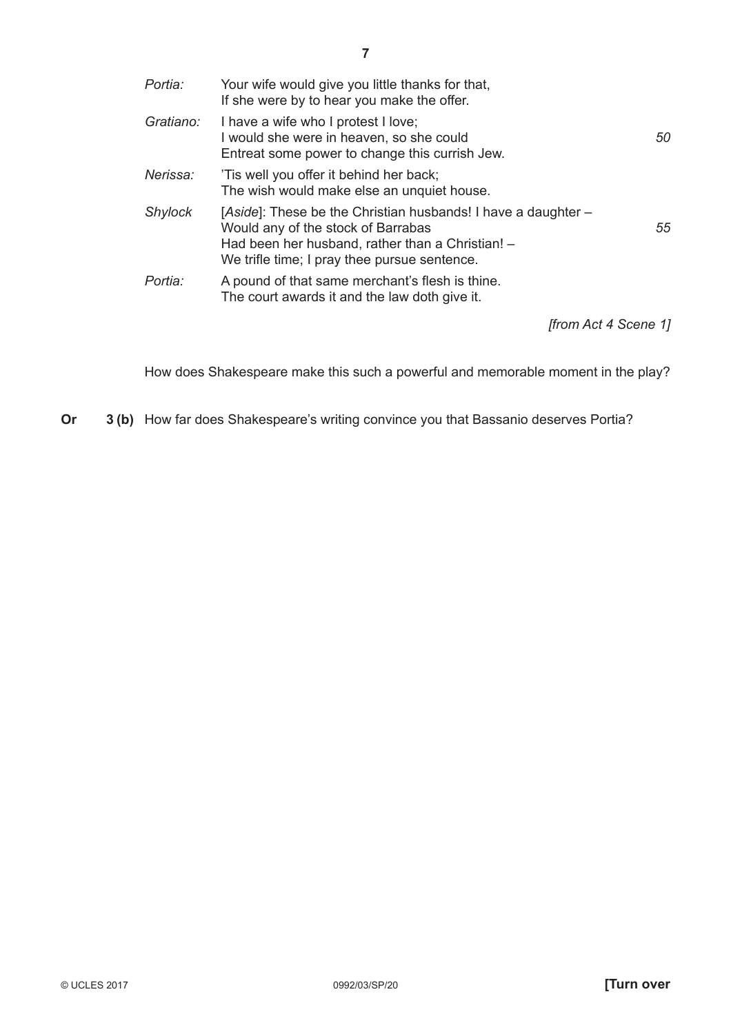| Portia:        | Your wife would give you little thanks for that,<br>If she were by to hear you make the offer.                                                                                                          |    |
|----------------|---------------------------------------------------------------------------------------------------------------------------------------------------------------------------------------------------------|----|
| Gratiano:      | I have a wife who I protest I love;<br>I would she were in heaven, so she could<br>Entreat some power to change this currish Jew.                                                                       | 50 |
| Nerissa:       | 'Tis well you offer it behind her back;<br>The wish would make else an unquiet house.                                                                                                                   |    |
| <b>Shylock</b> | [Aside]: These be the Christian husbands! I have a daughter –<br>Would any of the stock of Barrabas<br>Had been her husband, rather than a Christian! -<br>We trifle time; I pray thee pursue sentence. | 55 |
| Portia:        | A pound of that same merchant's flesh is thine.<br>The court awards it and the law doth give it.                                                                                                        |    |
|                | ffrom Act 4 Scene 11                                                                                                                                                                                    |    |

How does Shakespeare make this such a powerful and memorable moment in the play?

**Or 3 (b)** How far does Shakespeare's writing convince you that Bassanio deserves Portia?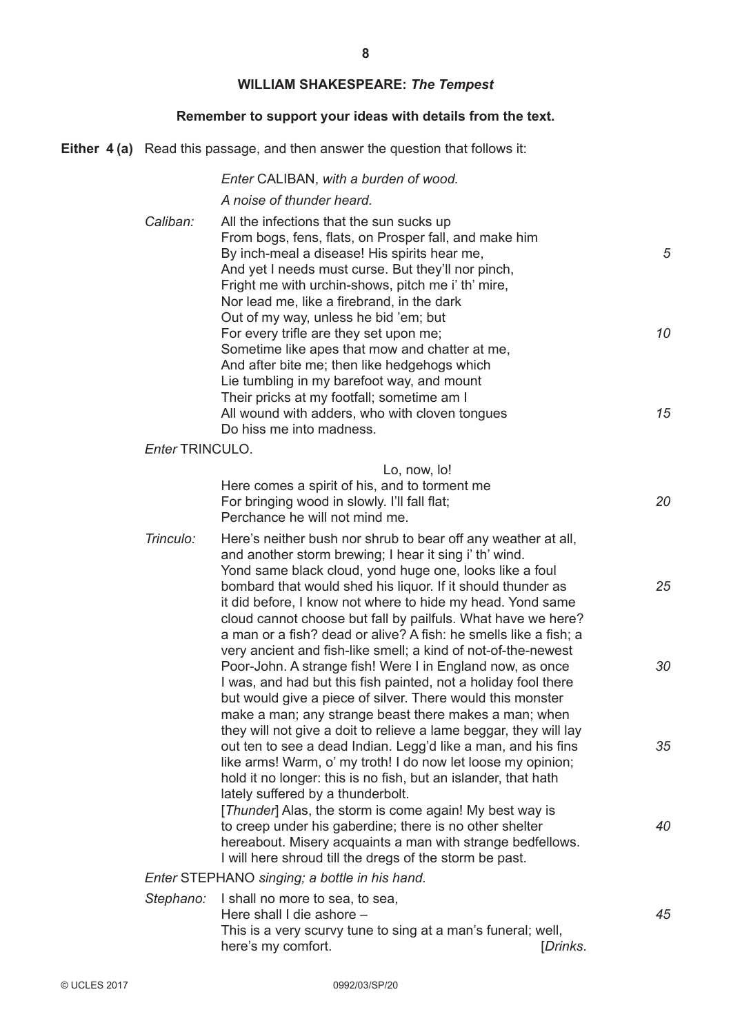# **WILLIAM SHAKESPEARE:** *The Tempest*

## **Remember to support your ideas with details from the text.**

**Either 4 (a)** Read this passage, and then answer the question that follows it:

|                 | Enter CALIBAN, with a burden of wood.                                                                                                                                                                                                                                                                                                                                                                                                                                                                                                                                                                                                          |                |
|-----------------|------------------------------------------------------------------------------------------------------------------------------------------------------------------------------------------------------------------------------------------------------------------------------------------------------------------------------------------------------------------------------------------------------------------------------------------------------------------------------------------------------------------------------------------------------------------------------------------------------------------------------------------------|----------------|
|                 | A noise of thunder heard.                                                                                                                                                                                                                                                                                                                                                                                                                                                                                                                                                                                                                      |                |
| Caliban:        | All the infections that the sun sucks up<br>From bogs, fens, flats, on Prosper fall, and make him<br>By inch-meal a disease! His spirits hear me,<br>And yet I needs must curse. But they'll nor pinch,<br>Fright me with urchin-shows, pitch me i' th' mire,<br>Nor lead me, like a firebrand, in the dark<br>Out of my way, unless he bid 'em; but<br>For every trifle are they set upon me;<br>Sometime like apes that mow and chatter at me,<br>And after bite me; then like hedgehogs which<br>Lie tumbling in my barefoot way, and mount<br>Their pricks at my footfall; sometime am I<br>All wound with adders, who with cloven tongues | 5<br>10<br>15  |
|                 | Do hiss me into madness.                                                                                                                                                                                                                                                                                                                                                                                                                                                                                                                                                                                                                       |                |
| Enter TRINCULO. |                                                                                                                                                                                                                                                                                                                                                                                                                                                                                                                                                                                                                                                |                |
|                 | Lo, now, lo!<br>Here comes a spirit of his, and to torment me<br>For bringing wood in slowly. I'll fall flat;<br>Perchance he will not mind me.                                                                                                                                                                                                                                                                                                                                                                                                                                                                                                | 20             |
| Trinculo:       | Here's neither bush nor shrub to bear off any weather at all,<br>and another storm brewing; I hear it sing i' th' wind.<br>Yond same black cloud, yond huge one, looks like a foul<br>bombard that would shed his liquor. If it should thunder as<br>it did before, I know not where to hide my head. Yond same<br>cloud cannot choose but fall by pailfuls. What have we here?                                                                                                                                                                                                                                                                | 25             |
|                 | a man or a fish? dead or alive? A fish: he smells like a fish; a<br>very ancient and fish-like smell; a kind of not-of-the-newest<br>Poor-John. A strange fish! Were I in England now, as once<br>I was, and had but this fish painted, not a holiday fool there<br>but would give a piece of silver. There would this monster<br>make a man; any strange beast there makes a man; when                                                                                                                                                                                                                                                        | 30             |
|                 | they will not give a doit to relieve a lame beggar, they will lay<br>out ten to see a dead Indian. Legg'd like a man, and his fins<br>like arms! Warm, o' my troth! I do now let loose my opinion;<br>hold it no longer: this is no fish, but an islander, that hath<br>lately suffered by a thunderbolt.                                                                                                                                                                                                                                                                                                                                      | 35             |
|                 | [Thunder] Alas, the storm is come again! My best way is<br>to creep under his gaberdine; there is no other shelter<br>hereabout. Misery acquaints a man with strange bedfellows.<br>I will here shroud till the dregs of the storm be past.                                                                                                                                                                                                                                                                                                                                                                                                    | 40             |
|                 | Enter STEPHANO singing; a bottle in his hand.                                                                                                                                                                                                                                                                                                                                                                                                                                                                                                                                                                                                  |                |
| Stephano:       | I shall no more to sea, to sea,<br>Here shall I die ashore -<br>This is a very scurvy tune to sing at a man's funeral; well,<br>here's my comfort.                                                                                                                                                                                                                                                                                                                                                                                                                                                                                             | 45<br>[Drinks. |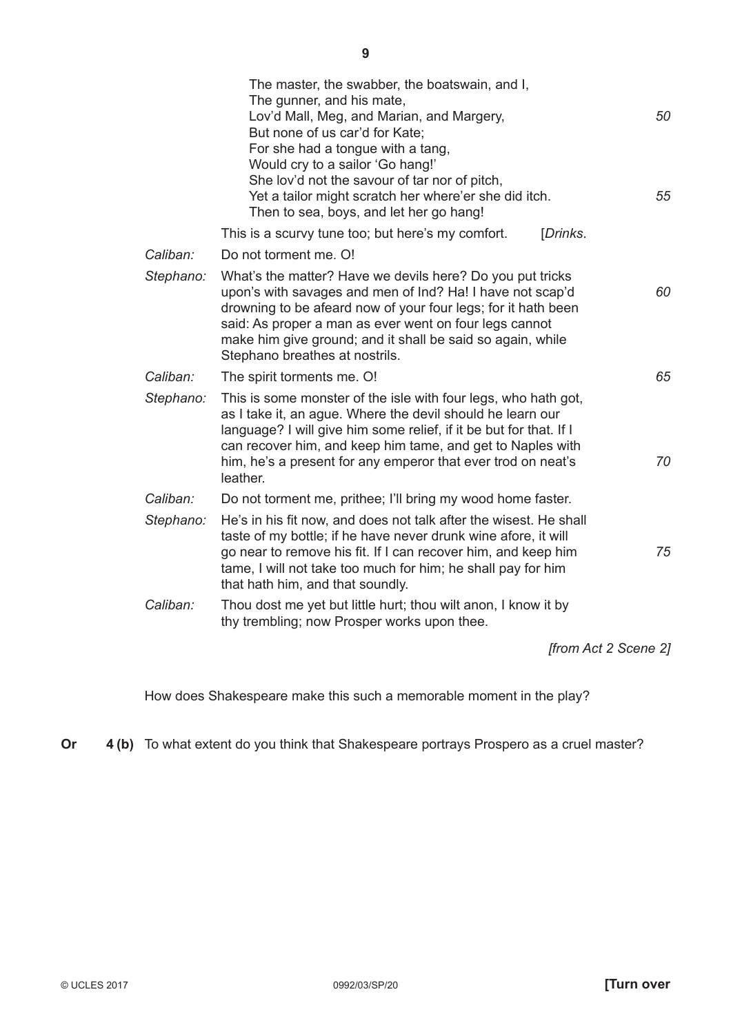| The master, the swabber, the boatswain, and I,<br>The gunner, and his mate,<br>Lov'd Mall, Meg, and Marian, and Margery,<br>But none of us car'd for Kate;<br>For she had a tongue with a tang,<br>Would cry to a sailor 'Go hang!'<br>She lov'd not the savour of tar nor of pitch,<br>Yet a tailor might scratch her where'er she did itch.<br>Then to sea, boys, and let her go hang! | 50<br>55 |
|------------------------------------------------------------------------------------------------------------------------------------------------------------------------------------------------------------------------------------------------------------------------------------------------------------------------------------------------------------------------------------------|----------|
| This is a scurvy tune too; but here's my comfort.<br>[Drinks.                                                                                                                                                                                                                                                                                                                            |          |
| Caliban:<br>Do not torment me. O!                                                                                                                                                                                                                                                                                                                                                        |          |
| Stephano:<br>What's the matter? Have we devils here? Do you put tricks<br>upon's with savages and men of Ind? Ha! I have not scap'd<br>drowning to be afeard now of your four legs; for it hath been<br>said: As proper a man as ever went on four legs cannot<br>make him give ground; and it shall be said so again, while<br>Stephano breathes at nostrils.                           | 60       |
| Caliban:<br>The spirit torments me. O!                                                                                                                                                                                                                                                                                                                                                   | 65       |
| Stephano:<br>This is some monster of the isle with four legs, who hath got,<br>as I take it, an ague. Where the devil should he learn our<br>language? I will give him some relief, if it be but for that. If I<br>can recover him, and keep him tame, and get to Naples with<br>him, he's a present for any emperor that ever trod on neat's<br>leather.                                | 70       |
| Caliban:<br>Do not torment me, prithee; I'll bring my wood home faster.                                                                                                                                                                                                                                                                                                                  |          |
| Stephano:<br>He's in his fit now, and does not talk after the wisest. He shall<br>taste of my bottle; if he have never drunk wine afore, it will<br>go near to remove his fit. If I can recover him, and keep him<br>tame, I will not take too much for him; he shall pay for him<br>that hath him, and that soundly.                                                                    | 75       |
| Caliban:<br>Thou dost me yet but little hurt; thou wilt anon, I know it by<br>thy trembling; now Prosper works upon thee.                                                                                                                                                                                                                                                                |          |
| [from Act 2 Scene 2]                                                                                                                                                                                                                                                                                                                                                                     |          |

How does Shakespeare make this such a memorable moment in the play?

**Or 4 (b)** To what extent do you think that Shakespeare portrays Prospero as a cruel master?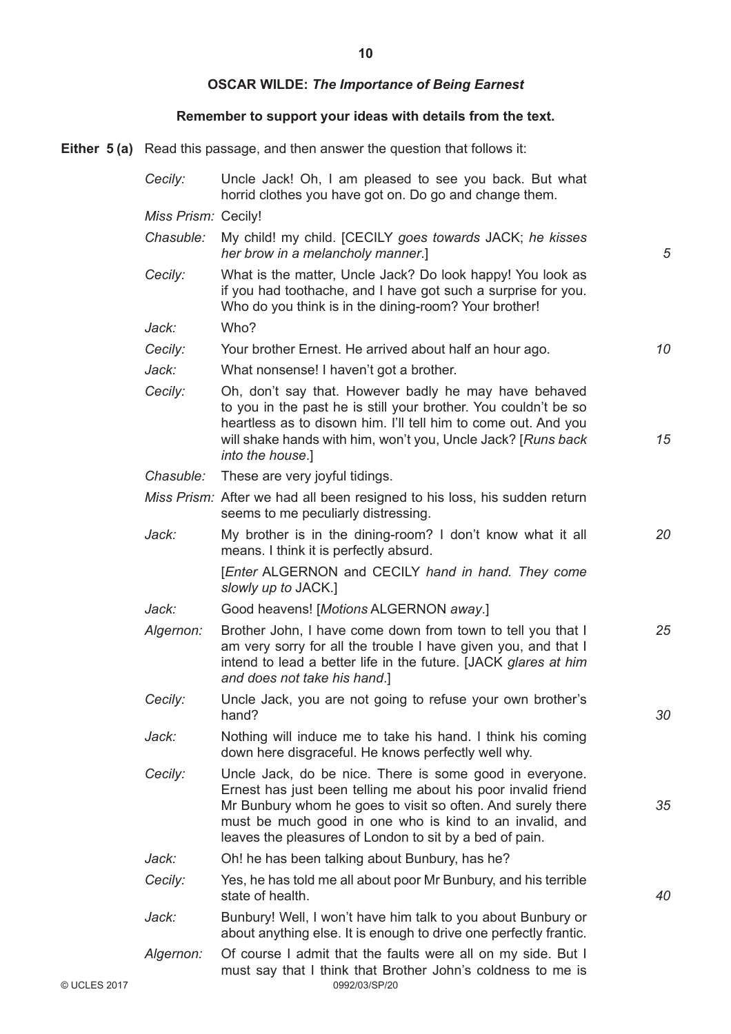**10**

# **OSCAR WILDE:** *The Importance of Being Earnest*

## **Remember to support your ideas with details from the text.**

**Either 5 (a)** Read this passage, and then answer the question that follows it:

|              | Cecily:             | Uncle Jack! Oh, I am pleased to see you back. But what<br>horrid clothes you have got on. Do go and change them.                                                                                                                                                                                              |    |
|--------------|---------------------|---------------------------------------------------------------------------------------------------------------------------------------------------------------------------------------------------------------------------------------------------------------------------------------------------------------|----|
|              | Miss Prism: Cecily! |                                                                                                                                                                                                                                                                                                               |    |
|              | Chasuble:           | My child! my child. [CECILY goes towards JACK; he kisses<br>her brow in a melancholy manner.]                                                                                                                                                                                                                 | 5  |
|              | Cecily:             | What is the matter, Uncle Jack? Do look happy! You look as<br>if you had toothache, and I have got such a surprise for you.<br>Who do you think is in the dining-room? Your brother!                                                                                                                          |    |
|              | Jack:               | Who?                                                                                                                                                                                                                                                                                                          |    |
|              | Cecily:             | Your brother Ernest. He arrived about half an hour ago.                                                                                                                                                                                                                                                       | 10 |
|              | Jack:               | What nonsense! I haven't got a brother.                                                                                                                                                                                                                                                                       |    |
|              | Cecily:             | Oh, don't say that. However badly he may have behaved<br>to you in the past he is still your brother. You couldn't be so<br>heartless as to disown him. I'll tell him to come out. And you<br>will shake hands with him, won't you, Uncle Jack? [Runs back<br>into the house.]                                | 15 |
|              | Chasuble:           | These are very joyful tidings.                                                                                                                                                                                                                                                                                |    |
|              |                     | Miss Prism: After we had all been resigned to his loss, his sudden return<br>seems to me peculiarly distressing.                                                                                                                                                                                              |    |
|              | Jack:               | My brother is in the dining-room? I don't know what it all<br>means. I think it is perfectly absurd.                                                                                                                                                                                                          | 20 |
|              |                     | [Enter ALGERNON and CECILY hand in hand. They come<br>slowly up to JACK.]                                                                                                                                                                                                                                     |    |
|              | Jack:               | Good heavens! [Motions ALGERNON away.]                                                                                                                                                                                                                                                                        |    |
|              | Algernon:           | Brother John, I have come down from town to tell you that I<br>am very sorry for all the trouble I have given you, and that I<br>intend to lead a better life in the future. [JACK glares at him<br>and does not take his hand.]                                                                              | 25 |
|              | Cecily:             | Uncle Jack, you are not going to refuse your own brother's<br>hand?                                                                                                                                                                                                                                           | 30 |
|              | Jack:               | Nothing will induce me to take his hand. I think his coming<br>down here disgraceful. He knows perfectly well why.                                                                                                                                                                                            |    |
|              | Cecily:             | Uncle Jack, do be nice. There is some good in everyone.<br>Ernest has just been telling me about his poor invalid friend<br>Mr Bunbury whom he goes to visit so often. And surely there<br>must be much good in one who is kind to an invalid, and<br>leaves the pleasures of London to sit by a bed of pain. | 35 |
|              | Jack:               | Oh! he has been talking about Bunbury, has he?                                                                                                                                                                                                                                                                |    |
|              | Cecily:             | Yes, he has told me all about poor Mr Bunbury, and his terrible<br>state of health.                                                                                                                                                                                                                           | 40 |
|              | Jack:               | Bunbury! Well, I won't have him talk to you about Bunbury or<br>about anything else. It is enough to drive one perfectly frantic.                                                                                                                                                                             |    |
| © UCLES 2017 | Algernon:           | Of course I admit that the faults were all on my side. But I<br>must say that I think that Brother John's coldness to me is<br>0992/03/SP/20                                                                                                                                                                  |    |
|              |                     |                                                                                                                                                                                                                                                                                                               |    |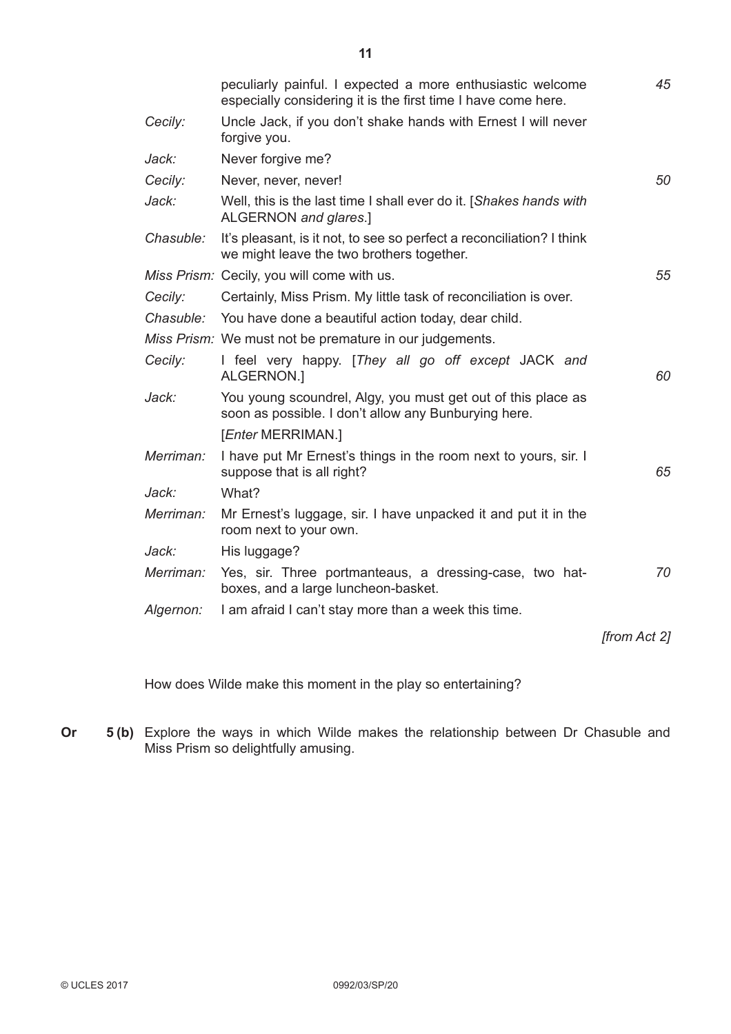|           | peculiarly painful. I expected a more enthusiastic welcome<br>especially considering it is the first time I have come here. | 45           |
|-----------|-----------------------------------------------------------------------------------------------------------------------------|--------------|
| Cecily:   | Uncle Jack, if you don't shake hands with Ernest I will never<br>forgive you.                                               |              |
| Jack:     | Never forgive me?                                                                                                           |              |
| Cecily:   | Never, never, never!                                                                                                        | 50           |
| Jack:     | Well, this is the last time I shall ever do it. [Shakes hands with<br>ALGERNON and glares.]                                 |              |
| Chasuble: | It's pleasant, is it not, to see so perfect a reconciliation? I think<br>we might leave the two brothers together.          |              |
|           | Miss Prism: Cecily, you will come with us.                                                                                  | 55           |
| Cecily:   | Certainly, Miss Prism. My little task of reconciliation is over.                                                            |              |
|           | Chasuble: You have done a beautiful action today, dear child.                                                               |              |
|           | Miss Prism: We must not be premature in our judgements.                                                                     |              |
| Cecily:   | I feel very happy. [They all go off except JACK and<br>ALGERNON.]                                                           | 60           |
| Jack:     | You young scoundrel, Algy, you must get out of this place as<br>soon as possible. I don't allow any Bunburying here.        |              |
|           | [ <i>Enter</i> MERRIMAN.]                                                                                                   |              |
| Merriman: | I have put Mr Ernest's things in the room next to yours, sir. I<br>suppose that is all right?                               | 65           |
| Jack:     | What?                                                                                                                       |              |
| Merriman: | Mr Ernest's luggage, sir. I have unpacked it and put it in the<br>room next to your own.                                    |              |
| Jack:     | His luggage?                                                                                                                |              |
| Merriman: | Yes, sir. Three portmanteaus, a dressing-case, two hat-<br>boxes, and a large luncheon-basket.                              | 70           |
| Algernon: | I am afraid I can't stay more than a week this time.                                                                        |              |
|           |                                                                                                                             | [from Act 2] |
|           |                                                                                                                             |              |

How does Wilde make this moment in the play so entertaining?

**Or 5 (b)** Explore the ways in which Wilde makes the relationship between Dr Chasuble and Miss Prism so delightfully amusing.